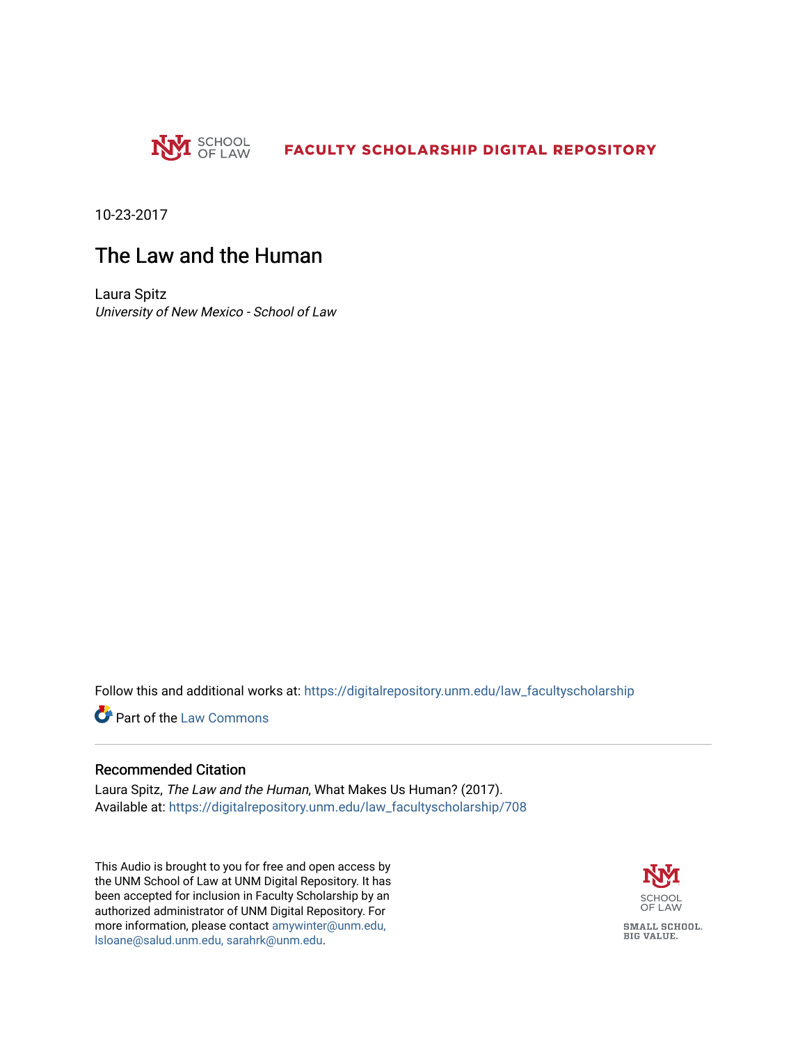

10-23-2017

### The Law and the Human

Laura Spitz University of New Mexico - School of Law

Follow this and additional works at: [https://digitalrepository.unm.edu/law\\_facultyscholarship](https://digitalrepository.unm.edu/law_facultyscholarship?utm_source=digitalrepository.unm.edu%2Flaw_facultyscholarship%2F708&utm_medium=PDF&utm_campaign=PDFCoverPages) 

**Part of the [Law Commons](http://network.bepress.com/hgg/discipline/578?utm_source=digitalrepository.unm.edu%2Flaw_facultyscholarship%2F708&utm_medium=PDF&utm_campaign=PDFCoverPages)** 

#### Recommended Citation

Laura Spitz, The Law and the Human, What Makes Us Human? (2017). Available at: [https://digitalrepository.unm.edu/law\\_facultyscholarship/708](https://digitalrepository.unm.edu/law_facultyscholarship/708?utm_source=digitalrepository.unm.edu%2Flaw_facultyscholarship%2F708&utm_medium=PDF&utm_campaign=PDFCoverPages) 

This Audio is brought to you for free and open access by the UNM School of Law at UNM Digital Repository. It has been accepted for inclusion in Faculty Scholarship by an authorized administrator of UNM Digital Repository. For more information, please contact [amywinter@unm.edu,](mailto:amywinter@unm.edu,%20lsloane@salud.unm.edu,%20sarahrk@unm.edu)  [lsloane@salud.unm.edu, sarahrk@unm.edu.](mailto:amywinter@unm.edu,%20lsloane@salud.unm.edu,%20sarahrk@unm.edu)

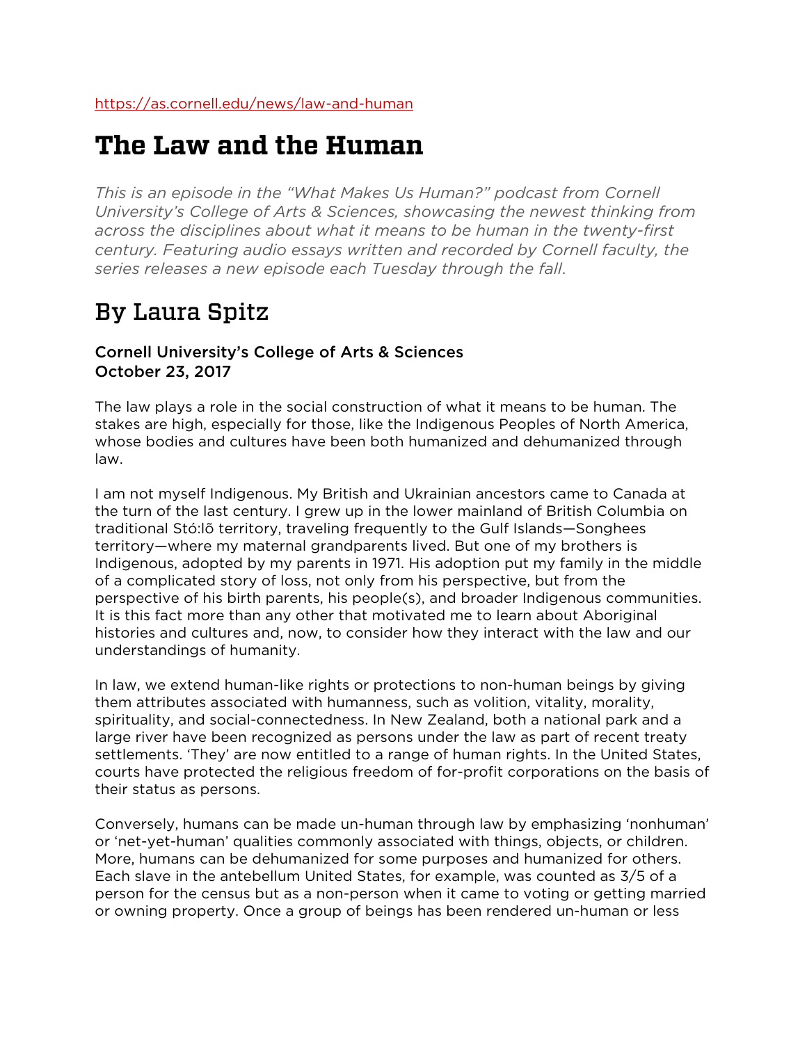# **The Law and the Human**

*This is an episode in the "What Makes Us Human?" podcast from Cornell University's College of Arts & Sciences, showcasing the newest thinking from across the disciplines about what it means to be human in the twenty-first century. Featuring audio essays written and recorded by Cornell faculty, the series releases a new episode each Tuesday through the fall*.

# By Laura Spitz

### Cornell University's College of Arts & Sciences October 23, 2017

The law plays a role in the social construction of what it means to be human. The stakes are high, especially for those, like the Indigenous Peoples of North America, whose bodies and cultures have been both humanized and dehumanized through law.

I am not myself Indigenous. My British and Ukrainian ancestors came to Canada at the turn of the last century. I grew up in the lower mainland of British Columbia on traditional Stó:lõ territory, traveling frequently to the Gulf Islands—Songhees territory—where my maternal grandparents lived. But one of my brothers is Indigenous, adopted by my parents in 1971. His adoption put my family in the middle of a complicated story of loss, not only from his perspective, but from the perspective of his birth parents, his people(s), and broader Indigenous communities. It is this fact more than any other that motivated me to learn about Aboriginal histories and cultures and, now, to consider how they interact with the law and our understandings of humanity.

In law, we extend human-like rights or protections to non-human beings by giving them attributes associated with humanness, such as volition, vitality, morality, spirituality, and social-connectedness. In New Zealand, both a national park and a large river have been recognized as persons under the law as part of recent treaty settlements. 'They' are now entitled to a range of human rights. In the United States, courts have protected the religious freedom of for-profit corporations on the basis of their status as persons.

Conversely, humans can be made un-human through law by emphasizing 'nonhuman' or 'net-yet-human' qualities commonly associated with things, objects, or children. More, humans can be dehumanized for some purposes and humanized for others. Each slave in the antebellum United States, for example, was counted as 3/5 of a person for the census but as a non-person when it came to voting or getting married or owning property. Once a group of beings has been rendered un-human or less